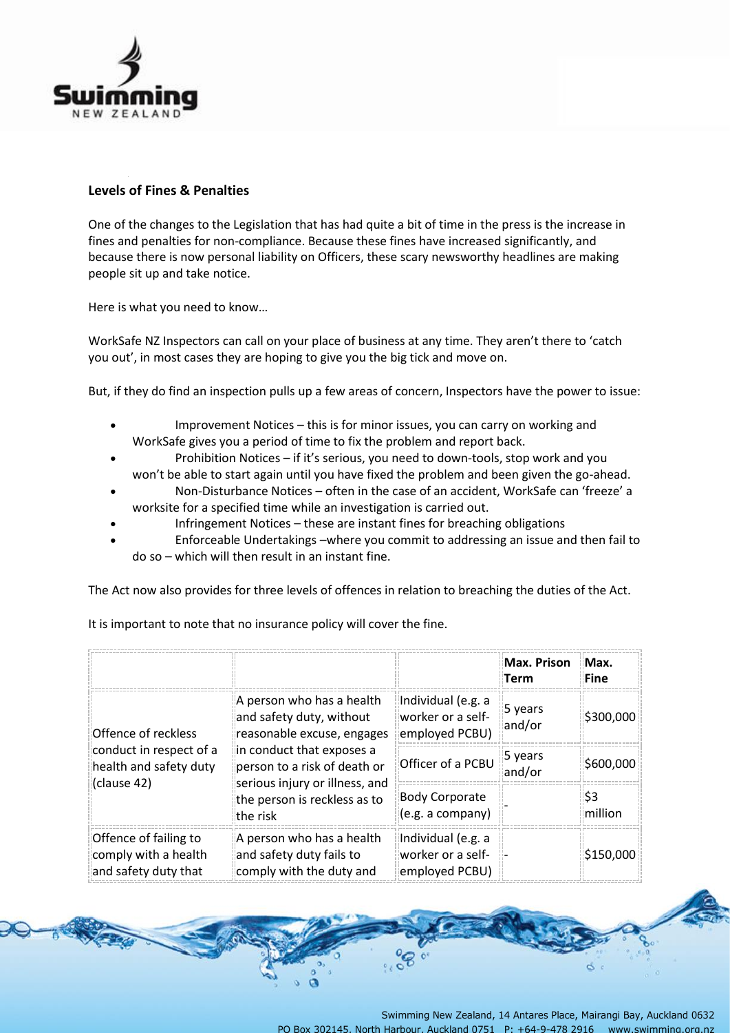

## **Levels of Fines & Penalties**

One of the changes to the Legislation that has had quite a bit of time in the press is the increase in fines and penalties for non-compliance. Because these fines have increased significantly, and because there is now personal liability on Officers, these scary newsworthy headlines are making people sit up and take notice.

Here is what you need to know…

WorkSafe NZ Inspectors can call on your place of business at any time. They aren't there to 'catch you out', in most cases they are hoping to give you the big tick and move on.

But, if they do find an inspection pulls up a few areas of concern, Inspectors have the power to issue:

- Improvement Notices this is for minor issues, you can carry on working and WorkSafe gives you a period of time to fix the problem and report back.
- Prohibition Notices if it's serious, you need to down-tools, stop work and you won't be able to start again until you have fixed the problem and been given the go-ahead.
- Non-Disturbance Notices often in the case of an accident, WorkSafe can 'freeze' a worksite for a specified time while an investigation is carried out.
- Infringement Notices these are instant fines for breaching obligations
- Enforceable Undertakings –where you commit to addressing an issue and then fail to do so – which will then result in an instant fine.

The Act now also provides for three levels of offences in relation to breaching the duties of the Act.

|                                                                                         |                                                                                                                                                                                                                                |                                                           | Max. Prison<br><b>Term</b> | Max.<br><b>Fine</b> |
|-----------------------------------------------------------------------------------------|--------------------------------------------------------------------------------------------------------------------------------------------------------------------------------------------------------------------------------|-----------------------------------------------------------|----------------------------|---------------------|
| Offence of reckless<br>conduct in respect of a<br>health and safety duty<br>(clause 42) | A person who has a health<br>and safety duty, without<br>reasonable excuse, engages<br>in conduct that exposes a<br>person to a risk of death or<br>serious injury or illness, and<br>the person is reckless as to<br>the risk | Individual (e.g. a<br>worker or a self-<br>employed PCBU) | 5 years<br>and/or          | \$300,000           |
|                                                                                         |                                                                                                                                                                                                                                | Officer of a PCBU                                         | 5 years<br>and/or          | \$600,000           |
|                                                                                         |                                                                                                                                                                                                                                | <b>Body Corporate</b><br>(e.g. a company)                 |                            | \$3<br>million      |
| Offence of failing to<br>comply with a health<br>and safety duty that                   | A person who has a health<br>and safety duty fails to<br>comply with the duty and                                                                                                                                              | Individual (e.g. a<br>worker or a self-<br>employed PCBU) |                            | \$150,000           |

It is important to note that no insurance policy will cover the fine.

ප්